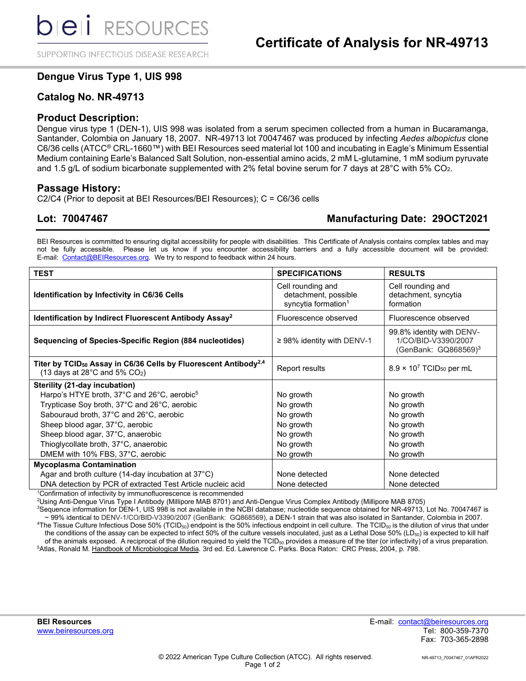SUPPORTING INFECTIOUS DISEASE RESEARCH

# **Dengue Virus Type 1, UIS 998**

# **Catalog No. NR-49713**

### **Product Description:**

Dengue virus type 1 (DEN-1), UIS 998 was isolated from a serum specimen collected from a human in Bucaramanga, Santander, Colombia on January 18, 2007. NR-49713 lot 70047467 was produced by infecting *Aedes albopictus* clone C6/36 cells (ATCC® CRL-1660™) with BEI Resources seed material lot 100 and incubating in Eagle's Minimum Essential Medium containing Earle's Balanced Salt Solution, non-essential amino acids, 2 mM L-glutamine, 1 mM sodium pyruvate and 1.5 g/L of sodium bicarbonate supplemented with 2% fetal bovine serum for 7 days at 28°C with 5% CO2.

### **Passage History:**

C2/C4 (Prior to deposit at BEI Resources/BEI Resources); C = C6/36 cells

# **Lot: 70047467 Manufacturing Date: 29OCT2021**

BEI Resources is committed to ensuring digital accessibility for people with disabilities. This Certificate of Analysis contains complex tables and may not be fully accessible. Please let us know if you encounter accessibility barriers and a fully accessible document will be provided: E-mail: [Contact@BEIResources.org.](mailto:contact@BEIResources.org) We try to respond to feedback within 24 hours.

| <b>TEST</b>                                                                                                                                     | <b>SPECIFICATIONS</b>                                                        | <b>RESULTS</b>                                                                          |
|-------------------------------------------------------------------------------------------------------------------------------------------------|------------------------------------------------------------------------------|-----------------------------------------------------------------------------------------|
| <b>Identification by Infectivity in C6/36 Cells</b>                                                                                             | Cell rounding and<br>detachment, possible<br>syncytia formation <sup>1</sup> | Cell rounding and<br>detachment, syncytia<br>formation                                  |
| Identification by Indirect Fluorescent Antibody Assay <sup>2</sup>                                                                              | Fluorescence observed                                                        | Fluorescence observed                                                                   |
| Sequencing of Species-Specific Region (884 nucleotides)                                                                                         | $\geq$ 98% identity with DENV-1                                              | 99.8% identity with DENV-<br>1/CO/BID-V3390/2007<br>(GenBank: $GQ868569$ ) <sup>3</sup> |
| Titer by TCID <sub>50</sub> Assay in C6/36 Cells by Fluorescent Antibody <sup>2,4</sup><br>(13 days at 28 $^{\circ}$ C and 5% CO <sub>2</sub> ) | Report results                                                               | $8.9 \times 10^7$ TCID <sub>50</sub> per mL                                             |
| Sterility (21-day incubation)                                                                                                                   |                                                                              |                                                                                         |
| Harpo's HTYE broth, 37°C and 26°C, aerobic <sup>5</sup>                                                                                         | No growth                                                                    | No growth                                                                               |
| Trypticase Soy broth, 37°C and 26°C, aerobic                                                                                                    | No growth                                                                    | No growth                                                                               |
| Sabouraud broth, 37°C and 26°C, aerobic                                                                                                         | No growth                                                                    | No growth                                                                               |
| Sheep blood agar, 37°C, aerobic                                                                                                                 | No growth                                                                    | No growth                                                                               |
| Sheep blood agar, 37°C, anaerobic                                                                                                               | No growth                                                                    | No growth                                                                               |
| Thioglycollate broth, 37°C, anaerobic                                                                                                           | No growth                                                                    | No growth                                                                               |
| DMEM with 10% FBS, 37°C, aerobic                                                                                                                | No growth                                                                    | No growth                                                                               |
| <b>Mycoplasma Contamination</b>                                                                                                                 |                                                                              |                                                                                         |
| Agar and broth culture (14-day incubation at $37^{\circ}$ C)                                                                                    | None detected                                                                | None detected                                                                           |
| DNA detection by PCR of extracted Test Article nucleic acid                                                                                     | None detected                                                                | None detected                                                                           |

<sup>1</sup>Confirmation of infectivity by immunofluorescence is recommended

2 Using Anti-Dengue Virus Type I Antibody (Millipore MAB 8701) and Anti-Dengue Virus Complex Antibody (Millipore MAB 8705)

3 Sequence information for DEN-1, UIS 998 is not available in the NCBI database; nucleotide sequence obtained for NR-49713, Lot No. 70047467 is ~ 99% identical to DENV-1/CO/BID-V3390/2007 (GenBank: GQ868569), a DEN-1 strain that was also isolated in Santander, Colombia in 2007.  $^4$ The Tissue Culture Infectious Dose 50% (TCID $_{50}$ ) endpoint is the 50% infectious endpoint in cell culture. The TCID $_{50}$  is the dilution of virus that under the conditions of the assay can be expected to infect 50% of the culture vessels inoculated, just as a Lethal Dose 50% (LD<sub>50</sub>) is expected to kill half of the animals exposed. A reciprocal of the dilution required to yield the  $TCID_{50}$  provides a measure of the titer (or infectivity) of a virus preparation. <sup>5</sup>Atlas, Ronald M. <u>Handbook of Microbiological Media</u>. 3rd ed. Ed. Lawrence C. Parks. Boca Raton: CRC Press, 2004, p. 798.